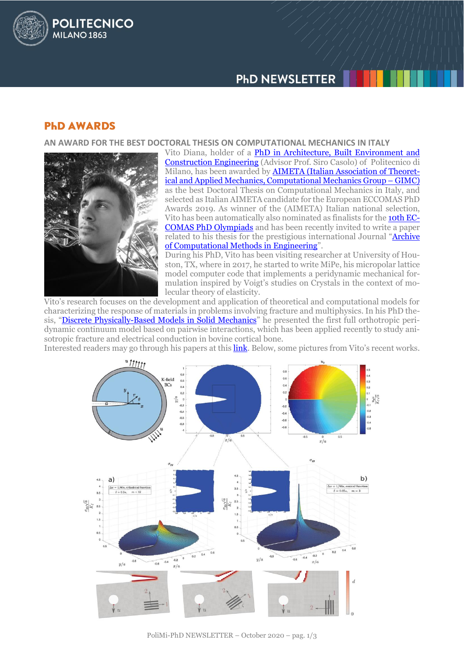

## **PHD AWARDS**

**POLITECNICO** 

**MILANO 1863** 

### **AN AWARD FOR THE BEST DOCTORAL THESIS ON COMPUTATIONAL MECHANICS IN ITALY**



Vito Diana, holder of a PhD in Architecture, Built Environment and [Construction Engineering](http://www.dottorato.polimi.it/corsi-di-dottorato/corsi-di-dottorato-attivi/architettura-ingegneria-delle-costruzioni-e-ambiente-costruito/) (Advisor Prof. Siro Casolo) of Politecnico di Milano, has been awarded by **AIMETA** (Italian Association of Theoret[ical and Applied Mechanics, Computational Mechanics Group](https://www.aimeta.it/index.php/mc/140-gimc-aimeta-phd-award-2019) – GIMC) as the best Doctoral Thesis on Computational Mechanics in Italy, and selected as Italian AIMETA candidate for the European ECCOMAS PhD Awards 2019. As winner of the (AIMETA) Italian national selection, Vito has been automatically also nominated as finalists for the **10th EC-**[COMAS PhD Olympiads](https://www.eccomas.org/scientific-events/eccomas-olympiads/) and has been recently invited to write a paper related to his thesis for the prestigious international Journal "**Archive** [of Computational Methods in Engineering](https://www.springer.com/journal/11831)".

During his PhD, Vito has been visiting researcher at University of Houston, TX, where in 2017, he started to write MiPe, his micropolar lattice model computer code that implements a peridynamic mechanical formulation inspired by Voigt's studies on Crystals in the context of molecular theory of elasticity.

Vito's research focuses on the development and application of theoretical and computational models for characterizing the response of materials in problems involving fracture and multiphysics. In his PhD thesis, "[Discrete Physically-Based Models in Solid Mechanics](https://www.politesi.polimi.it/handle/10589/145727)" he presented the first full orthotropic peridynamic continuum model based on pairwise interactions, which has been applied recently to study anisotropic fracture and electrical conduction in bovine cortical bone.

Interested readers may go through his papers at this **link**. Below, some pictures from Vito's recent works.

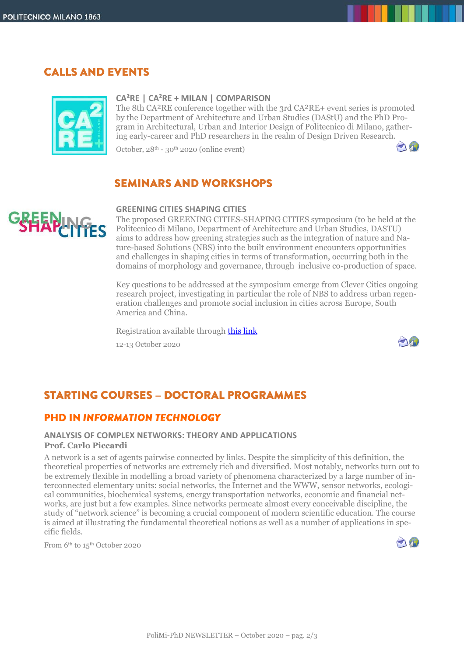## **CALLS AND EVENTS**



#### **CA²RE | CA²RE + MILAN | COMPARISON**

The 8th CA²RE conference together with the 3rd CA²RE+ event series is promoted by the Department of Architecture and Urban Studies (DAStU) and the PhD Program in Architectural, Urban and Interior Design of Politecnico di Milano, gathering early-career and PhD researchers in the realm of Design Driven Research.

October,  $28<sup>th</sup> - 30<sup>th</sup> 2020$  (online event)

## **SEMINARS AND WORKSHOPS**

### **GREENING CITIES SHAPING CITIES**

The proposed GREENING CITIES-SHAPING CITIES symposium (to be held at the Politecnico di Milano, Department of Architecture and Urban Studies, DASTU) aims to address how greening strategies such as the integration of nature and Nature-based Solutions (NBS) into the built environment encounters opportunities and challenges in shaping cities in terms of transformation, occurring both in the domains of morphology and governance, through inclusive co-production of space.

Key questions to be addressed at the symposium emerge from Clever Cities ongoing research project, investigating in particular the role of NBS to address urban regeneration challenges and promote social inclusion in cities across Europe, South America and China.

Registration available through [this link](https://www.greeningcities-shapingcities.polimi.it/?page_id=169) 12-13 October 2020



 $\bigcap_{i=1}^n$ 

# **STARTING COURSES - DOCTORAL PROGRAMMES**

## **PHD IN INFORMATION TECHNOLOGY**

### **ANALYSIS OF COMPLEX NETWORKS: THEORY AND APPLICATIONS Prof. Carlo Piccardi**

A network is a set of agents pairwise connected by links. Despite the simplicity of this definition, the theoretical properties of networks are extremely rich and diversified. Most notably, networks turn out to be extremely flexible in modelling a broad variety of phenomena characterized by a large number of interconnected elementary units: social networks, the Internet and the WWW, sensor networks, ecological communities, biochemical systems, energy transportation networks, economic and financial networks, are just but a few examples. Since networks permeate almost every conceivable discipline, the study of "network science" is becoming a crucial component of modern scientific education. The course is aimed at illustrating the fundamental theoretical notions as well as a number of applications in specific fields.

From 6th to 15th October 2020